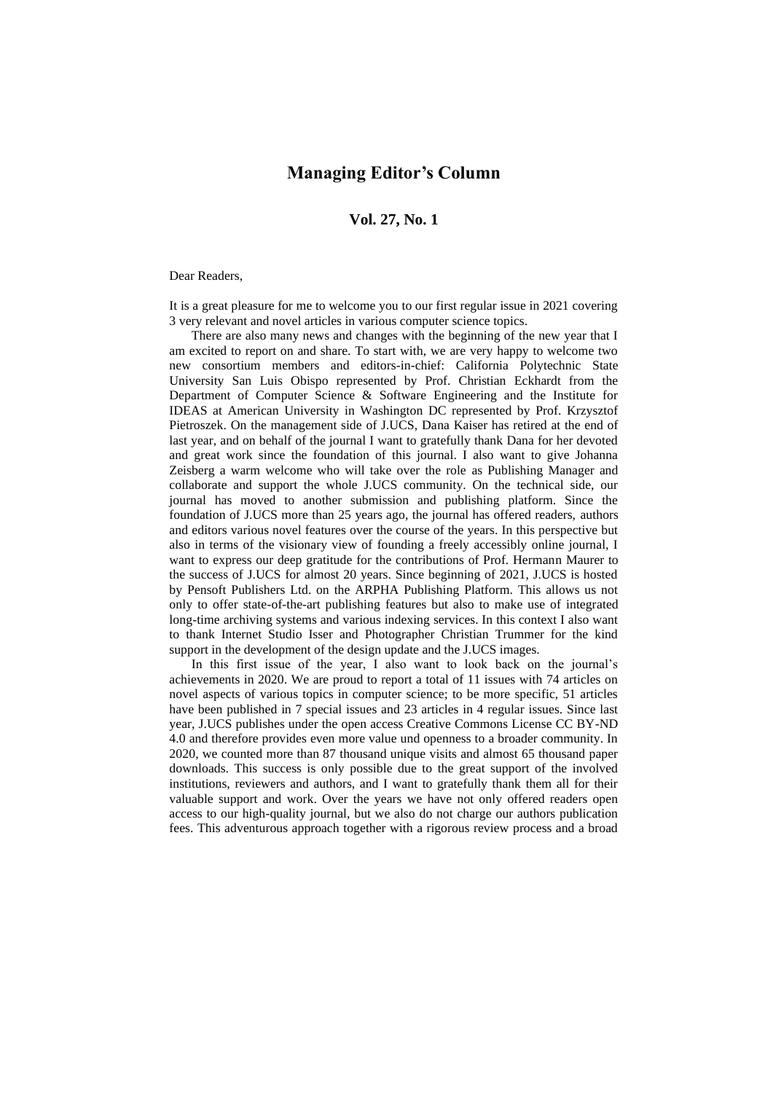## **Managing Editor's Column**

## **Vol. 27, No. 1**

## Dear Readers,

It is a great pleasure for me to welcome you to our first regular issue in 2021 covering 3 very relevant and novel articles in various computer science topics.

There are also many news and changes with the beginning of the new year that I am excited to report on and share. To start with, we are very happy to welcome two new consortium members and editors-in-chief: California Polytechnic State University San Luis Obispo represented by Prof. Christian Eckhardt from the Department of Computer Science & Software Engineering and the Institute for IDEAS at American University in Washington DC represented by Prof. Krzysztof Pietroszek. On the management side of J.UCS, Dana Kaiser has retired at the end of last year, and on behalf of the journal I want to gratefully thank Dana for her devoted and great work since the foundation of this journal. I also want to give Johanna Zeisberg a warm welcome who will take over the role as Publishing Manager and collaborate and support the whole J.UCS community. On the technical side, our journal has moved to another submission and publishing platform. Since the foundation of J.UCS more than 25 years ago, the journal has offered readers, authors and editors various novel features over the course of the years. In this perspective but also in terms of the visionary view of founding a freely accessibly online journal, I want to express our deep gratitude for the contributions of Prof. Hermann Maurer to the success of J.UCS for almost 20 years. Since beginning of 2021, J.UCS is hosted by Pensoft Publishers Ltd. on the ARPHA Publishing Platform. This allows us not only to offer state-of-the-art publishing features but also to make use of integrated long-time archiving systems and various indexing services. In this context I also want to thank Internet Studio Isser and Photographer Christian Trummer for the kind support in the development of the design update and the J.UCS images.

In this first issue of the year, I also want to look back on the journal's achievements in 2020. We are proud to report a total of 11 issues with 74 articles on novel aspects of various topics in computer science; to be more specific, 51 articles have been published in 7 special issues and 23 articles in 4 regular issues. Since last year, J.UCS publishes under the open access Creative Commons License CC BY-ND 4.0 and therefore provides even more value und openness to a broader community. In 2020, we counted more than 87 thousand unique visits and almost 65 thousand paper downloads. This success is only possible due to the great support of the involved institutions, reviewers and authors, and I want to gratefully thank them all for their valuable support and work. Over the years we have not only offered readers open access to our high-quality journal, but we also do not charge our authors publication fees. This adventurous approach together with a rigorous review process and a broad